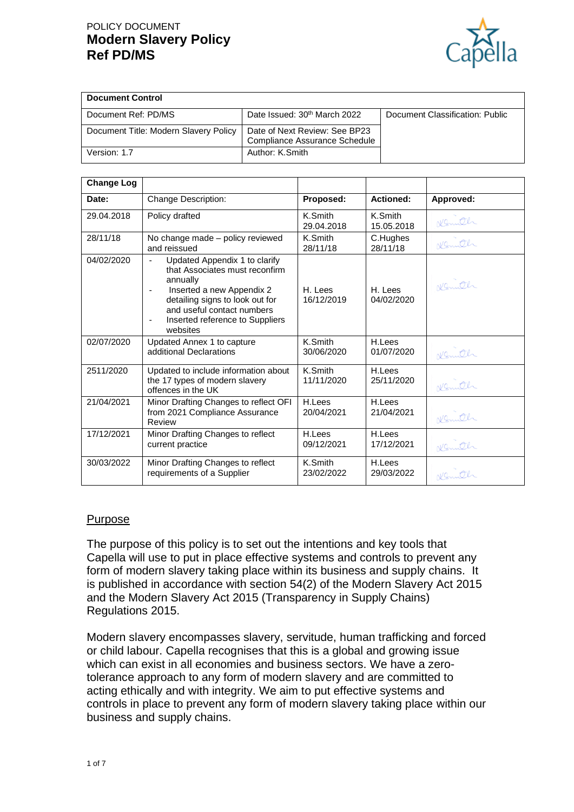# POLICY DOCUMENT **Modern Slavery Policy Ref PD/MS**



| <b>Document Control</b>               |                                                                       |                                 |
|---------------------------------------|-----------------------------------------------------------------------|---------------------------------|
| Document Ref: PD/MS                   | Date Issued: 30th March 2022                                          | Document Classification: Public |
| Document Title: Modern Slavery Policy | Date of Next Review: See BP23<br><b>Compliance Assurance Schedule</b> |                                 |
| Version: 1.7                          | Author: K.Smith                                                       |                                 |

| <b>Change Log</b> |                                                                                                                                                                                                                                            |                       |                       |           |
|-------------------|--------------------------------------------------------------------------------------------------------------------------------------------------------------------------------------------------------------------------------------------|-----------------------|-----------------------|-----------|
| Date:             | Change Description:                                                                                                                                                                                                                        | Proposed:             | Actioned:             | Approved: |
| 29.04.2018        | Policy drafted                                                                                                                                                                                                                             | K.Smith<br>29.04.2018 | K.Smith<br>15.05.2018 | Komth     |
| 28/11/18          | No change made - policy reviewed<br>and reissued                                                                                                                                                                                           | K.Smith<br>28/11/18   | C.Hughes<br>28/11/18  | Nemith    |
| 04/02/2020        | Updated Appendix 1 to clarify<br>$\blacksquare$<br>that Associates must reconfirm<br>annually<br>Inserted a new Appendix 2<br>detailing signs to look out for<br>and useful contact numbers<br>Inserted reference to Suppliers<br>websites | H. Lees<br>16/12/2019 | H. Lees<br>04/02/2020 | Normitch  |
| 02/07/2020        | Updated Annex 1 to capture<br>additional Declarations                                                                                                                                                                                      | K.Smith<br>30/06/2020 | H.Lees<br>01/07/2020  | Komith    |
| 2511/2020         | Updated to include information about<br>the 17 types of modern slavery<br>offences in the UK                                                                                                                                               | K.Smith<br>11/11/2020 | H.Lees<br>25/11/2020  | Komth     |
| 21/04/2021        | Minor Drafting Changes to reflect OFI<br>from 2021 Compliance Assurance<br>Review                                                                                                                                                          | H.Lees<br>20/04/2021  | H.Lees<br>21/04/2021  | Nemith    |
| 17/12/2021        | Minor Drafting Changes to reflect<br>current practice                                                                                                                                                                                      | H.Lees<br>09/12/2021  | H.Lees<br>17/12/2021  | Konuth    |
| 30/03/2022        | Minor Drafting Changes to reflect<br>requirements of a Supplier                                                                                                                                                                            | K.Smith<br>23/02/2022 | H.Lees<br>29/03/2022  | Konnth    |

#### Purpose

The purpose of this policy is to set out the intentions and key tools that Capella will use to put in place effective systems and controls to prevent any form of modern slavery taking place within its business and supply chains. It is published in accordance with section 54(2) of the Modern Slavery Act 2015 and the Modern Slavery Act 2015 (Transparency in Supply Chains) Regulations 2015.

Modern slavery encompasses slavery, servitude, human trafficking and forced or child labour. Capella recognises that this is a global and growing issue which can exist in all economies and business sectors. We have a zerotolerance approach to any form of modern slavery and are committed to acting ethically and with integrity. We aim to put effective systems and controls in place to prevent any form of modern slavery taking place within our business and supply chains.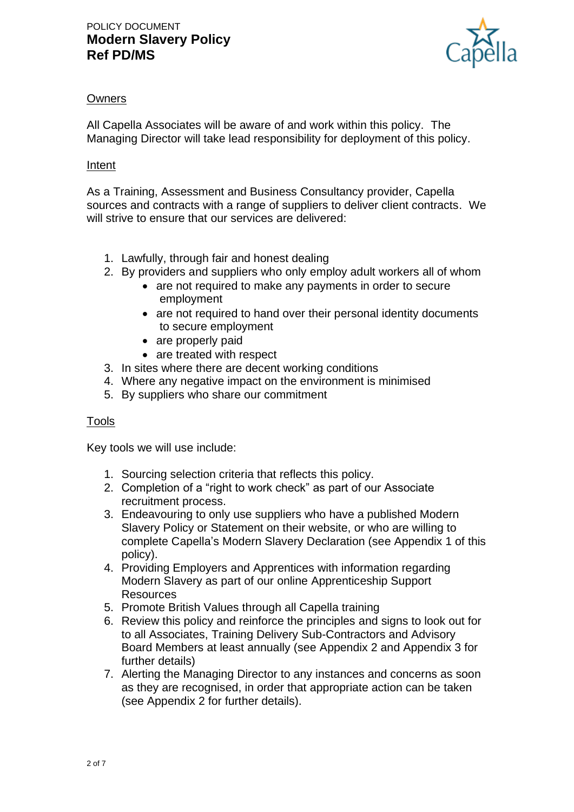

# **Owners**

All Capella Associates will be aware of and work within this policy. The Managing Director will take lead responsibility for deployment of this policy.

### Intent

As a Training, Assessment and Business Consultancy provider, Capella sources and contracts with a range of suppliers to deliver client contracts. We will strive to ensure that our services are delivered:

- 1. Lawfully, through fair and honest dealing
- 2. By providers and suppliers who only employ adult workers all of whom
	- are not required to make any payments in order to secure employment
	- are not required to hand over their personal identity documents to secure employment
	- are properly paid
	- are treated with respect
- 3. In sites where there are decent working conditions
- 4. Where any negative impact on the environment is minimised
- 5. By suppliers who share our commitment

# Tools

Key tools we will use include:

- 1. Sourcing selection criteria that reflects this policy.
- 2. Completion of a "right to work check" as part of our Associate recruitment process.
- 3. Endeavouring to only use suppliers who have a published Modern Slavery Policy or Statement on their website, or who are willing to complete Capella's Modern Slavery Declaration (see Appendix 1 of this policy).
- 4. Providing Employers and Apprentices with information regarding Modern Slavery as part of our online Apprenticeship Support **Resources**
- 5. Promote British Values through all Capella training
- 6. Review this policy and reinforce the principles and signs to look out for to all Associates, Training Delivery Sub-Contractors and Advisory Board Members at least annually (see Appendix 2 and Appendix 3 for further details)
- 7. Alerting the Managing Director to any instances and concerns as soon as they are recognised, in order that appropriate action can be taken (see Appendix 2 for further details).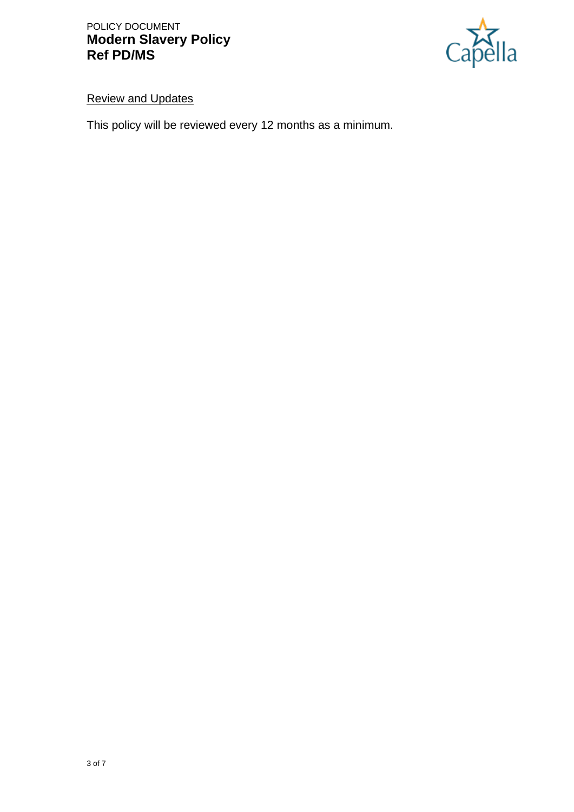

# Review and Updates

This policy will be reviewed every 12 months as a minimum.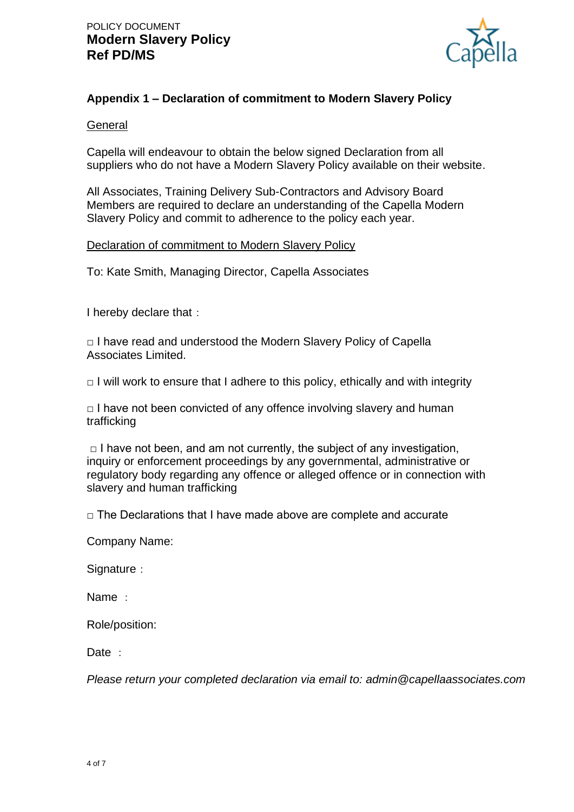

# **Appendix 1 – Declaration of commitment to Modern Slavery Policy**

#### **General**

Capella will endeavour to obtain the below signed Declaration from all suppliers who do not have a Modern Slavery Policy available on their website.

All Associates, Training Delivery Sub-Contractors and Advisory Board Members are required to declare an understanding of the Capella Modern Slavery Policy and commit to adherence to the policy each year.

#### Declaration of commitment to Modern Slavery Policy

To: Kate Smith, Managing Director, Capella Associates

I hereby declare that:

 $\Box$  I have read and understood the Modern Slavery Policy of Capella Associates Limited.

 $\Box$  I will work to ensure that I adhere to this policy, ethically and with integrity

 $\Box$  I have not been convicted of any offence involving slavery and human trafficking

 $\Box$  I have not been, and am not currently, the subject of any investigation, inquiry or enforcement proceedings by any governmental, administrative or regulatory body regarding any offence or alleged offence or in connection with slavery and human trafficking

 $\Box$  The Declarations that I have made above are complete and accurate

Company Name:

Signature:

Name :

Role/position:

Date :

*Please return your completed declaration via email to: admin@capellaassociates.com*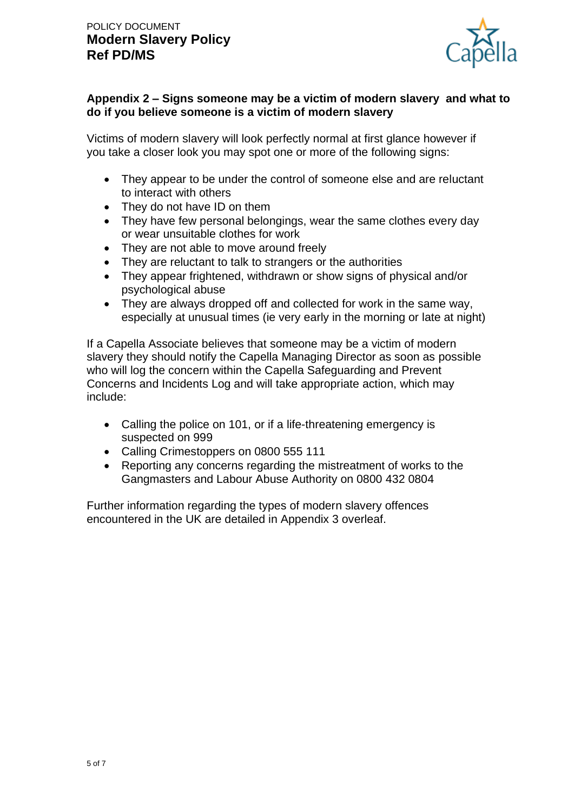

# **Appendix 2 – Signs someone may be a victim of modern slavery and what to do if you believe someone is a victim of modern slavery**

Victims of modern slavery will look perfectly normal at first glance however if you take a closer look you may spot one or more of the following signs:

- They appear to be under the control of someone else and are reluctant to interact with others
- They do not have ID on them
- They have few personal belongings, wear the same clothes every day or wear unsuitable clothes for work
- They are not able to move around freely
- They are reluctant to talk to strangers or the authorities
- They appear frightened, withdrawn or show signs of physical and/or psychological abuse
- They are always dropped off and collected for work in the same way, especially at unusual times (ie very early in the morning or late at night)

If a Capella Associate believes that someone may be a victim of modern slavery they should notify the Capella Managing Director as soon as possible who will log the concern within the Capella Safeguarding and Prevent Concerns and Incidents Log and will take appropriate action, which may include:

- Calling the police on 101, or if a life-threatening emergency is suspected on 999
- Calling Crimestoppers on 0800 555 111
- Reporting any concerns regarding the mistreatment of works to the Gangmasters and Labour Abuse Authority on 0800 432 0804

Further information regarding the types of modern slavery offences encountered in the UK are detailed in Appendix 3 overleaf.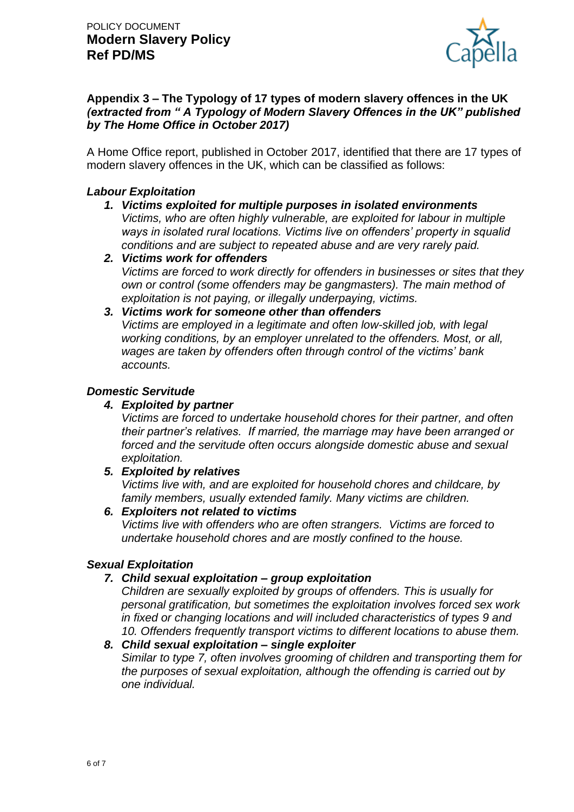

# **Appendix 3 – The Typology of 17 types of modern slavery offences in the UK**  *(extracted from " A Typology of Modern Slavery Offences in the UK" published by The Home Office in October 2017)*

A Home Office report, published in October 2017, identified that there are 17 types of modern slavery offences in the UK, which can be classified as follows:

# *Labour Exploitation*

- *1. Victims exploited for multiple purposes in isolated environments Victims, who are often highly vulnerable, are exploited for labour in multiple ways in isolated rural locations. Victims live on offenders' property in squalid conditions and are subject to repeated abuse and are very rarely paid.*
- *2. Victims work for offenders Victims are forced to work directly for offenders in businesses or sites that they own or control (some offenders may be gangmasters). The main method of exploitation is not paying, or illegally underpaying, victims.*
- *3. Victims work for someone other than offenders Victims are employed in a legitimate and often low-skilled job, with legal working conditions, by an employer unrelated to the offenders. Most, or all, wages are taken by offenders often through control of the victims' bank accounts.*

#### *Domestic Servitude*

#### *4. Exploited by partner*

*Victims are forced to undertake household chores for their partner, and often their partner's relatives. If married, the marriage may have been arranged or forced and the servitude often occurs alongside domestic abuse and sexual exploitation.*

*5. Exploited by relatives*

*Victims live with, and are exploited for household chores and childcare, by family members, usually extended family. Many victims are children.*

*6. Exploiters not related to victims*

*Victims live with offenders who are often strangers. Victims are forced to undertake household chores and are mostly confined to the house.*

# *Sexual Exploitation*

# *7. Child sexual exploitation – group exploitation*

*Children are sexually exploited by groups of offenders. This is usually for personal gratification, but sometimes the exploitation involves forced sex work in fixed or changing locations and will included characteristics of types 9 and 10. Offenders frequently transport victims to different locations to abuse them.*

#### *8. Child sexual exploitation – single exploiter*

*Similar to type 7, often involves grooming of children and transporting them for the purposes of sexual exploitation, although the offending is carried out by one individual.*